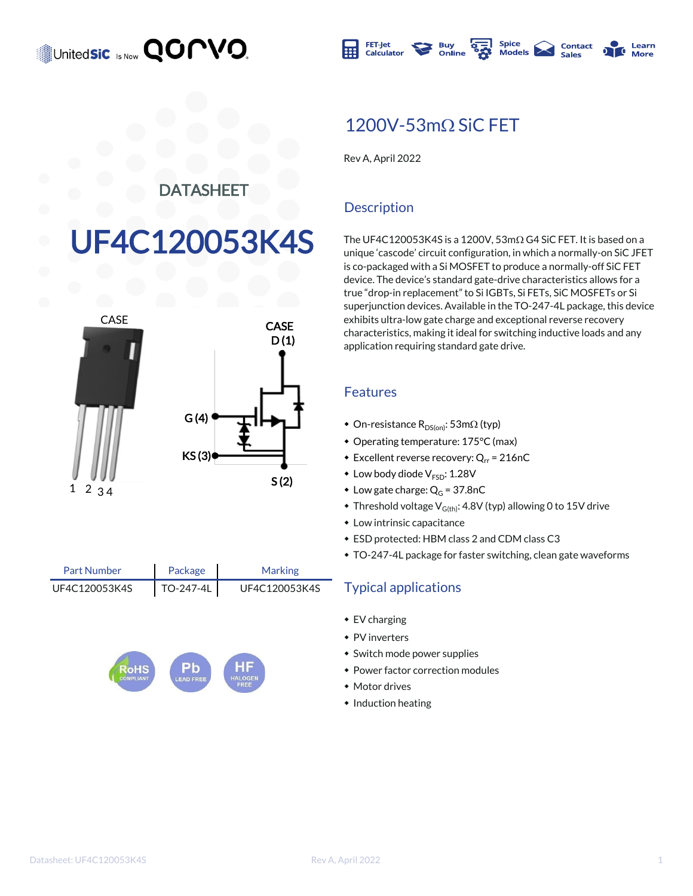



### $1200V - 53m\Omega$  SiC FET

Rev A, April 2022

#### DATASHEET

# F4C120053K4S



| Part Number   | Package   | <b>Marking</b> |
|---------------|-----------|----------------|
| UF4C120053K4S | TO-247-4L | UF4C120053K4S  |



#### **Description**

The UF4C120053K4S is a 1200V,  $53 \text{m}\Omega$  G4 SiC FET. It is based on a unique 'cascode' circuit configuration, in which a normally-on SiC JFET is co-packaged with a Si MOSFET to produce a normally-off SiC FET device. The device's standard gate-drive characteristics allows for a true "drop-in replacement" to Si IGBTs, Si FETs, SiC MOSFETs or Si superjunction devices. Available in the TO-247-4L package, this device exhibits ultra-low gate charge and exceptional reverse recovery characteristics, making it ideal for switching inductive loads and any application requiring standard gate drive.

#### Features

- On-resistance  $R_{DS(on)}$ : 53m $\Omega$  (typ)
- Operating temperature: 175°C (max)
- Excellent reverse recovery:  $Q_{rr}$  = 216nC
- $\bullet$  Low body diode  $V_{ESD}$ : 1.28V
- Low gate charge:  $Q_G = 37.8$ nC
- $\bullet$  Threshold voltage V<sub>G(th)</sub>: 4.8V (typ) allowing 0 to 15V drive
- $\bullet$  Low intrinsic capacitance
- $\bullet$  ESD protected: HBM class 2 and CDM class C3
- TO-247-4L package for faster switching, clean gate waveforms

#### **Typical applications**

- $\bullet$  EV charging
- $\bullet$  PV inverters
- $\bullet$  Switch mode power supplies
- Power factor correction modules
- $*$  Motor drives
- $\bullet$  Induction heating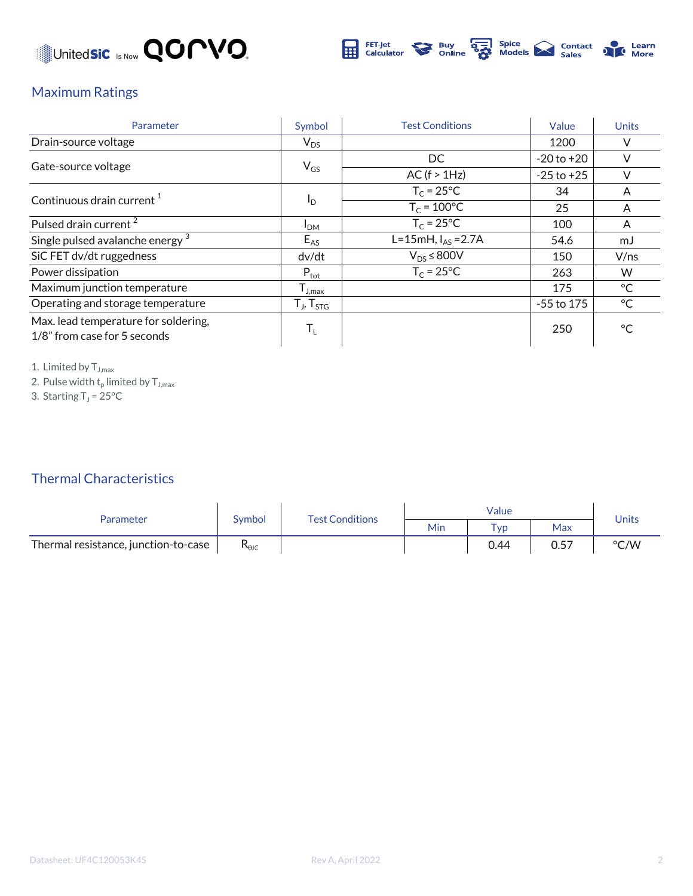



#### Maximum Ratings

| Parameter                                                            | Symbol                                 | <b>Test Conditions</b> | Value          | <b>Units</b> |
|----------------------------------------------------------------------|----------------------------------------|------------------------|----------------|--------------|
| Drain-source voltage                                                 | $V_{DS}$                               |                        | 1200           | $\vee$       |
| Gate-source voltage                                                  |                                        | DC.                    | $-20$ to $+20$ | $\vee$       |
|                                                                      | $V_{GS}$                               | AC (f > 1Hz)           | $-25$ to $+25$ | $\vee$       |
| Continuous drain current <sup>1</sup>                                |                                        | $T_c = 25$ °C          | 34             | A            |
|                                                                      | $I_{\text{D}}$                         | $T_c = 100^{\circ}C$   | 25             | A            |
| Pulsed drain current <sup>2</sup>                                    | I <sub>DM</sub>                        | $T_c = 25^{\circ}C$    | 100            | A            |
| Single pulsed avalanche energy <sup>3</sup>                          | $E_{AS}$                               | L=15mH, $I_{AS}$ =2.7A | 54.6           | mJ           |
| SiC FET dv/dt ruggedness                                             | dv/dt                                  | $V_{DS}$ $\leq$ 800V   | 150            | V/ns         |
| Power dissipation                                                    | $P_{\text{tot}}$                       | $T_c = 25^{\circ}C$    | 263            | W            |
| Maximum junction temperature                                         | $\mathsf{T}_{\mathsf{J},\mathsf{max}}$ |                        | 175            | $^{\circ}$ C |
| Operating and storage temperature                                    | $T_{J}$ , $T_{STG}$                    |                        | $-55$ to 175   | °C           |
| Max. lead temperature for soldering,<br>1/8" from case for 5 seconds | $T_{L}$                                |                        | 250            | $^{\circ}$ C |

1. Limited by  $T_{J,max}$ 

2. Pulse width  $\mathsf{t}_\mathsf{p}$  limited by  $\mathsf{T}_{\mathsf{J},\mathsf{max}}$ 

3. Starting  $T_J$  = 25°C

#### Thermal Characteristics

| <b>Parameter</b>                     | Symbol                         | <b>Test Conditions</b> | Value |             |      | Units |
|--------------------------------------|--------------------------------|------------------------|-------|-------------|------|-------|
|                                      |                                |                        | Min   | $\tau_{VD}$ | Max  |       |
| Thermal resistance, junction-to-case | $\mathsf{R}_{\theta\text{JC}}$ |                        |       | 0.44        | 0.57 | °C/W  |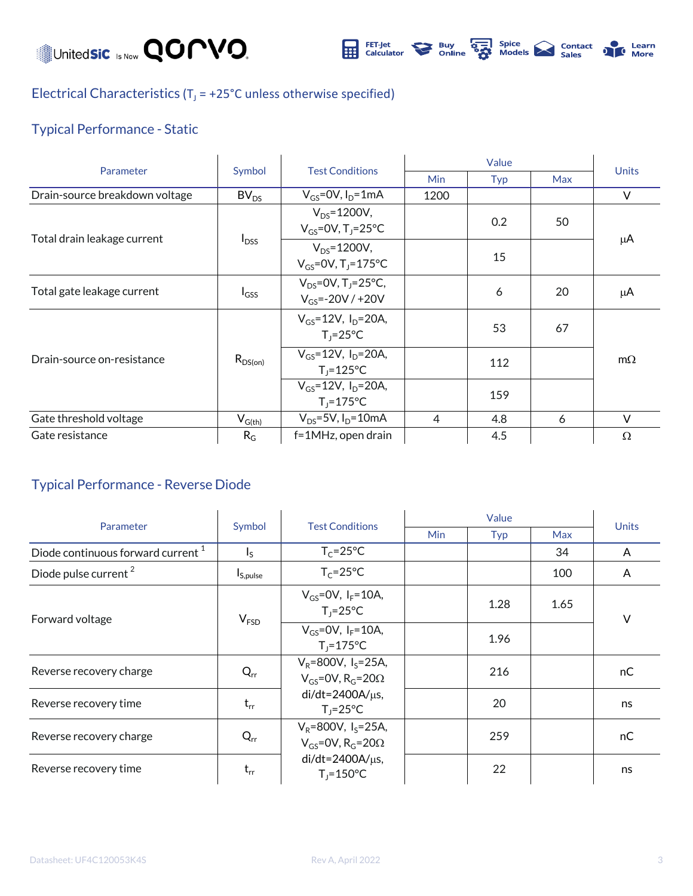Unitedsic Is Now **QOMVO**.



#### Electrical Characteristics ( $T_J$  = +25°C unless otherwise specified)

#### Typical Performance - Static

| Parameter                      | Symbol                                 | <b>Test Conditions</b>                                          |                |     |            |           |
|--------------------------------|----------------------------------------|-----------------------------------------------------------------|----------------|-----|------------|-----------|
|                                |                                        |                                                                 | <b>Min</b>     | Typ | <b>Max</b> | Units     |
| Drain-source breakdown voltage | BV <sub>DS</sub>                       | $V_{GS}$ =0V, $I_D$ =1mA                                        | 1200           |     |            | $\vee$    |
| Total drain leakage current    | $I_{DSS}$                              | $V_{DS} = 1200V,$<br>$V_{GS}$ =0V, T <sub>1</sub> =25°C         |                | 0.2 | 50         | μA        |
|                                |                                        | $V_{DS} = 1200V,$<br>$V_{GS} = 0V$ , T <sub>1</sub> =175°C      |                | 15  |            |           |
| Total gate leakage current     | $I_{GSS}$                              | $V_{DS} = 0V$ , T <sub>1</sub> =25°C,<br>$V_{GS} = -20V / +20V$ |                | 6   | 20         | μA        |
| Drain-source on-resistance     | $R_{DS(on)}$                           | $V_{GS} = 12V$ , $I_{D} = 20A$ ,<br>$T_1 = 25^{\circ}C$         |                | 53  | 67         | $m\Omega$ |
|                                |                                        | $V_{GS} = 12V$ , $I_D = 20A$ ,<br>$T_i = 125$ °C                |                | 112 |            |           |
|                                |                                        | $V_{GS} = 12V$ , $I_D = 20A$ ,<br>$T_i = 175$ °C                |                | 159 |            |           |
| Gate threshold voltage         | $\mathsf{V}_{\mathsf{G}(\mathsf{th})}$ | $V_{DS} = 5V$ , $I_D = 10mA$                                    | $\overline{4}$ | 4.8 | 6          | $\vee$    |
| Gate resistance                | $R_G$                                  | f=1MHz, open drain                                              |                | 4.5 |            | $\Omega$  |

#### Typical Performance - Reverse Diode

| Parameter                                     | Symbol                    | <b>Test Conditions</b>                                                           |            | <b>Units</b> |            |        |
|-----------------------------------------------|---------------------------|----------------------------------------------------------------------------------|------------|--------------|------------|--------|
|                                               |                           |                                                                                  | <b>Min</b> | Typ          | <b>Max</b> |        |
| Diode continuous forward current <sup>1</sup> | $\mathsf{I}_{\mathsf{S}}$ | $T_c = 25^{\circ}C$                                                              |            |              | 34         | A      |
| Diode pulse current <sup>2</sup>              | I <sub>S,pulse</sub>      | $T_c = 25^{\circ}C$                                                              |            |              | 100        | A      |
| Forward voltage                               | V <sub>FSD</sub>          | $V_{GS} = 0V$ , $I_F = 10A$ ,<br>$T_i = 25^{\circ}C$                             |            | 1.28         | 1.65       | $\vee$ |
|                                               |                           | $V_{GS}$ =0V, $I_F$ =10A,<br>$T_i = 175^{\circ}C$                                |            | 1.96         |            |        |
| Reverse recovery charge                       | $Q_{rr}$                  | $V_R = 800V$ , $I_S = 25A$ ,<br>$V_{GS}$ =0V, R <sub>G</sub> =20 $\Omega$        |            | 216          |            | nC     |
| Reverse recovery time                         | $t_{rr}$                  | $di/dt = 2400A/\mu s$ ,<br>$T_1 = 25^{\circ}C$                                   |            | 20           |            | ns     |
| Reverse recovery charge                       | $Q_{rr}$                  | $V_R = 800V$ , I <sub>s</sub> =25A,<br>$V_{GS}$ =0V, R <sub>G</sub> =20 $\Omega$ |            | 259          |            | nC     |
| Reverse recovery time                         | $t_{rr}$                  | $di/dt = 2400A/\mu s$ ,<br>$T_i = 150^{\circ}C$                                  |            | 22           |            | ns     |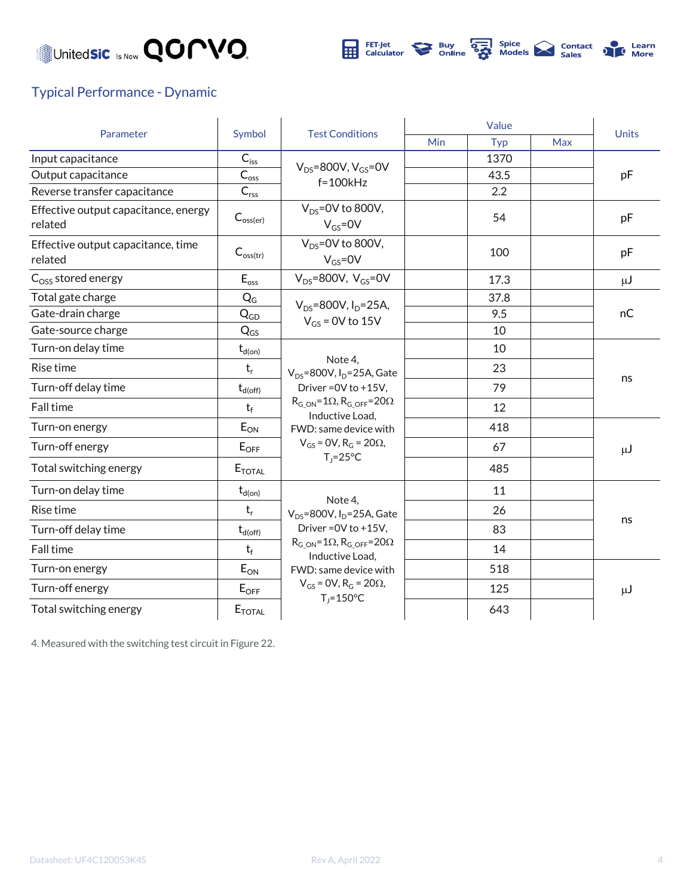



#### Typical Performance - Dynamic

| Parameter                                       | Symbol                                          |                                                                  | Value |      |     | <b>Units</b> |
|-------------------------------------------------|-------------------------------------------------|------------------------------------------------------------------|-------|------|-----|--------------|
|                                                 |                                                 | <b>Test Conditions</b>                                           | Min   | Typ  | Max |              |
| Input capacitance                               | $C_{\text{iss}}$                                | $V_{DS}$ =800V, $V_{GS}$ =0V<br>$f = 100k$ Hz                    |       | 1370 |     |              |
| Output capacitance                              | $C_{\text{o$                                    |                                                                  |       | 43.5 |     | pF           |
| Reverse transfer capacitance                    | $C_{\text{rss}}$                                |                                                                  |       | 2.2  |     |              |
| Effective output capacitance, energy<br>related | $C_{\text{oss(er)}}$                            | $V_{DS}$ =0V to 800V,<br>$V_{GS} = 0V$                           |       | 54   |     | pF           |
| Effective output capacitance, time<br>related   | $C_{\text{oss(tr)}}$                            | $V_{DS}$ =0V to 800V,<br>$V_{GS} = 0V$                           |       | 100  |     | pF           |
| $Coss$ stored energy                            | $E_{\rm oss}$                                   | $V_{DS}$ =800V, $V_{GS}$ =0V                                     |       | 17.3 |     | $\mu$ J      |
| Total gate charge                               | $Q_G$                                           | $V_{DS} = 800V$ , $I_D = 25A$ ,                                  |       | 37.8 |     | nC           |
| Gate-drain charge                               | $\mathsf{Q}_{\mathsf{G}\underline{\mathsf{D}}}$ | $V_{GS}$ = 0V to 15V                                             |       | 9.5  |     |              |
| Gate-source charge                              | $Q_{GS}$                                        |                                                                  |       | 10   |     |              |
| Turn-on delay time                              | $t_{d(on)}$                                     |                                                                  |       | 10   |     |              |
| Rise time                                       | $t_r$                                           | Note 4,<br>$V_{DS}$ =800V, I <sub>D</sub> =25A, Gate             |       | 23   |     | ns           |
| Turn-off delay time                             | $t_{d(\text{off})}$                             | Driver = 0V to +15V,                                             |       | 79   |     |              |
| Fall time                                       | $t_f$                                           | $R_{G ON} = 1\Omega$ , $R_{G OFF} = 20\Omega$<br>Inductive Load, |       | 12   |     |              |
| Turn-on energy                                  | $E_{ON}$                                        | FWD: same device with                                            |       | 418  |     |              |
| Turn-off energy                                 | $E_{OFF}$                                       | $V_{GS}$ = 0V, R <sub>G</sub> = 20 $\Omega$ ,                    |       | 67   |     | μJ           |
| Total switching energy                          | <b>E</b> TOTAL                                  | $T_J = 25^{\circ}C$                                              |       | 485  |     |              |
| Turn-on delay time                              | $t_{d(on)}$                                     |                                                                  |       | 11   |     |              |
| Rise time                                       | $t_r$                                           | Note 4.<br>$V_{DS}$ =800V, I <sub>D</sub> =25A, Gate             |       | 26   |     |              |
| Turn-off delay time                             | $t_{d(\text{off})}$                             | Driver = $0V$ to $+15V$ .                                        |       | 83   |     | ns           |
| Fall time                                       | $t_f$                                           | $R_{G ON} = 1\Omega$ , $R_{G OFF} = 20\Omega$<br>Inductive Load, |       | 14   |     |              |
| Turn-on energy                                  | $E_{ON}$                                        | FWD: same device with                                            |       | 518  |     |              |
| Turn-off energy                                 | $E_{\text{OFF}}$                                | $V_{GS}$ = 0V, R <sub>G</sub> = 20 $\Omega$ ,                    |       | 125  |     | $\mu$ J      |
| Total switching energy                          | $E_{\text{TOTAL}}$                              | $T_i = 150^{\circ}C$                                             |       | 643  |     |              |

4. Measured with the switching test circuit in Figure 22.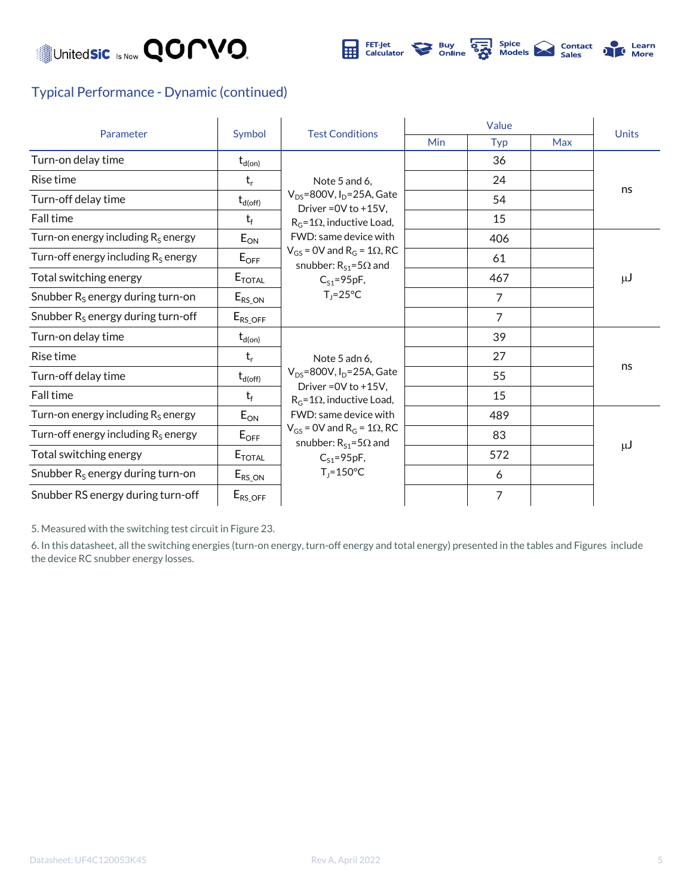



#### Typical Performance - Dynamic (continued)

| Parameter                                    |                          | <b>Test Conditions</b>                                                                                                                                     | Value |     |     | <b>Units</b> |
|----------------------------------------------|--------------------------|------------------------------------------------------------------------------------------------------------------------------------------------------------|-------|-----|-----|--------------|
|                                              | Symbol                   |                                                                                                                                                            | Min   | Typ | Max |              |
| Turn-on delay time                           | $\mathsf{t}_{\sf d(on)}$ |                                                                                                                                                            |       | 36  |     |              |
| Rise time                                    | $t_{r}$                  | Note 5 and 6,                                                                                                                                              |       | 24  |     |              |
| Turn-off delay time                          | $t_{d(\text{off})}$      | $V_{DS}$ =800V, I <sub>D</sub> =25A, Gate<br>Driver = $0V$ to $+15V$ .                                                                                     |       | 54  |     | ns           |
| Fall time                                    | $t_f$                    | $R_G = 1\Omega$ , inductive Load,                                                                                                                          |       | 15  |     |              |
| Turn-on energy including $R_S$ energy        | $E_{ON}$                 | FWD: same device with                                                                                                                                      |       | 406 |     |              |
| Turn-off energy including $R_s$ energy       | $E_{\text{OFF}}$         | $V_{GS}$ = 0V and R <sub>G</sub> = 1 $\Omega$ , RC<br>snubber: $R_{S1} = 5\Omega$ and                                                                      |       | 61  |     |              |
| Total switching energy                       | $E_{\text{TOTAL}}$       | $C_{S1} = 95pF,$                                                                                                                                           |       | 467 |     | μJ           |
| Snubber R <sub>s</sub> energy during turn-on | $E_{RS\_ON}$             | $T_1 = 25^{\circ}C$                                                                                                                                        |       | 7   |     |              |
| Snubber $R_s$ energy during turn-off         | $E_{RS\_OFF}$            |                                                                                                                                                            |       | 7   |     |              |
| Turn-on delay time                           | $t_{d(on)}$              |                                                                                                                                                            |       | 39  |     |              |
| Rise time                                    | $t_{r}$                  | Note 5 adn 6,                                                                                                                                              |       | 27  |     | ns           |
| Turn-off delay time                          | $t_{d(off)}$             | $V_{DS}$ =800V, I <sub>D</sub> =25A, Gate                                                                                                                  |       | 55  |     |              |
| Fall time                                    | $t_f$                    | Driver = 0V to +15V,<br>$R_G = 1\Omega$ , inductive Load,                                                                                                  |       | 15  |     |              |
| Turn-on energy including $R_s$ energy        | $E_{ON}$                 | FWD: same device with<br>$V_{GS}$ = 0V and R <sub>G</sub> = 1 $\Omega$ , RC<br>snubber: $R_{S1} = 5\Omega$ and<br>$C_{S1} = 95pF,$<br>$T_i = 150^{\circ}C$ |       | 489 |     |              |
| Turn-off energy including $R_s$ energy       | $E_{\text{OFF}}$         |                                                                                                                                                            |       | 83  |     |              |
| Total switching energy                       | $E_{\text{TOTAL}}$       |                                                                                                                                                            |       | 572 |     | μJ           |
| Snubber $R_s$ energy during turn-on          | $E_{RS\_ON}$             |                                                                                                                                                            |       | 6   |     |              |
| Snubber RS energy during turn-off            | $E_{RS\_OFF}$            |                                                                                                                                                            |       | 7   |     |              |

5. Measured with the switching test circuit in Figure 23.

6. In this datasheet, all the switching energies (turn-on energy, turn-off energy and total energy) presented in the tables and Figures include the device RC snubber energy losses.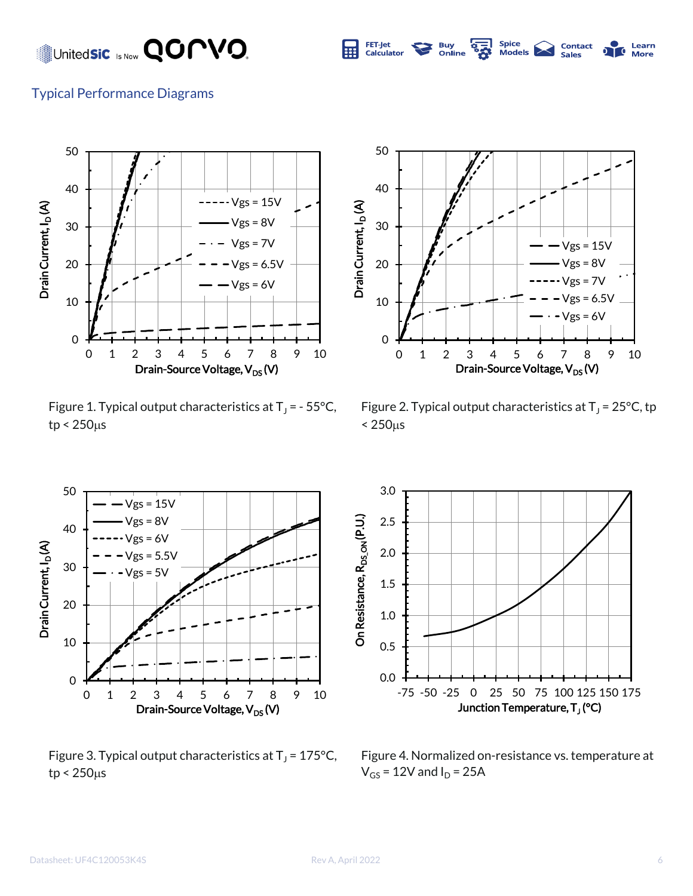United**sic** Is Now **QOMVO.** 



#### Typical Performance Diagrams



Figure 1. Typical output characteristics at  $T_J$  = - 55°C,  $tp < 250 \mu s$ 



Figure 2. Typical output characteristics at  $T_J$  = 25°C, tp  $< 250<sub>µs</sub>$ 



Figure 3. Typical output characteristics at  $T_J$  = 175°C,  $tp < 250 \mu s$ 



Figure 4. Normalized on-resistance vs. temperature at  $V_{GS}$  = 12V and  $I_D$  = 25A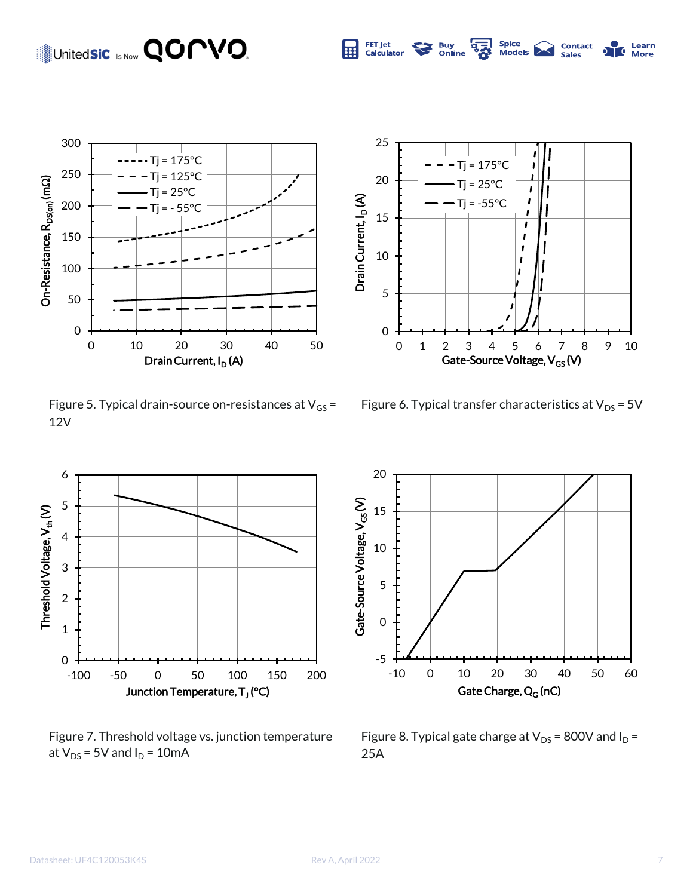

Figure 5. Typical drain-source on-resistances at  $V_{GS}$  = 12V



Figure 7. Threshold voltage vs. junction temperature at  $V_{DS}$  = 5V and  $I_D$  = 10mA



Spice<br>Models

**Contact**<br>Sales

**Learn**<br>More

70

**E** 

**Buy**<br>Online

FET-Jet<br>Calculator

屈

Figure 6. Typical transfer characteristics at  $V_{DS}$  = 5V



Figure 8. Typical gate charge at  $V_{DS}$  = 800V and  $I_D$  = 25A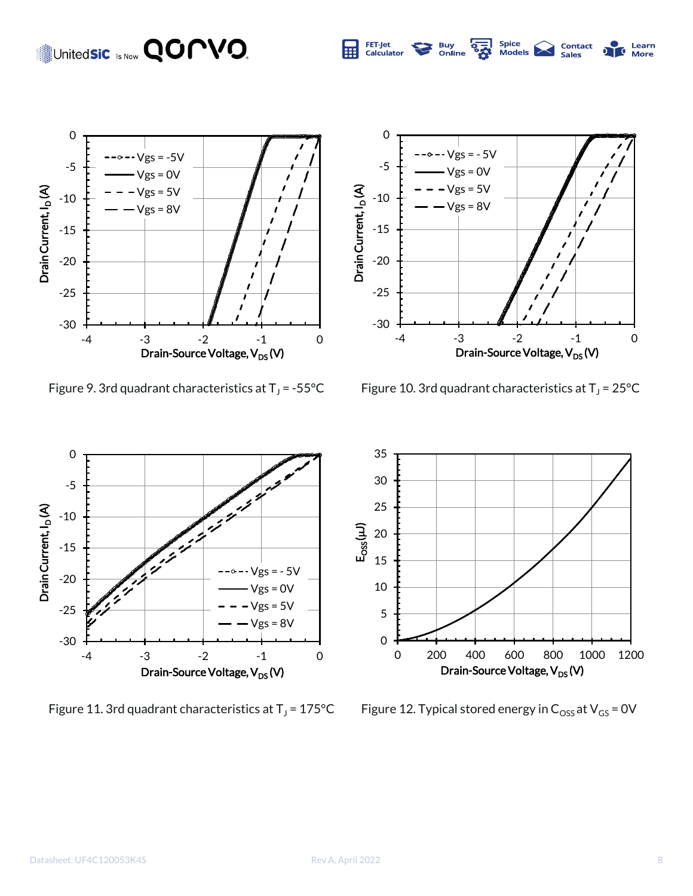## Unitedsic Is Now **QOPVO.**





Spice<br>Models

**Contact**<br>Sales

Learn<br>More

70

**Buy**<br>Online

**189** 

FET-Jet<br>Calculator

囲

Figure 9. 3rd quadrant characteristics at  $T_J$  = -55°C

Figure 10. 3rd quadrant characteristics at  $T_J$  = 25°C



Figure 11. 3rd quadrant characteristics at  $T_1$  = 175°C



Figure 12. Typical stored energy in  $C_{\text{OSS}}$  at  $V_{\text{GS}}$  = 0V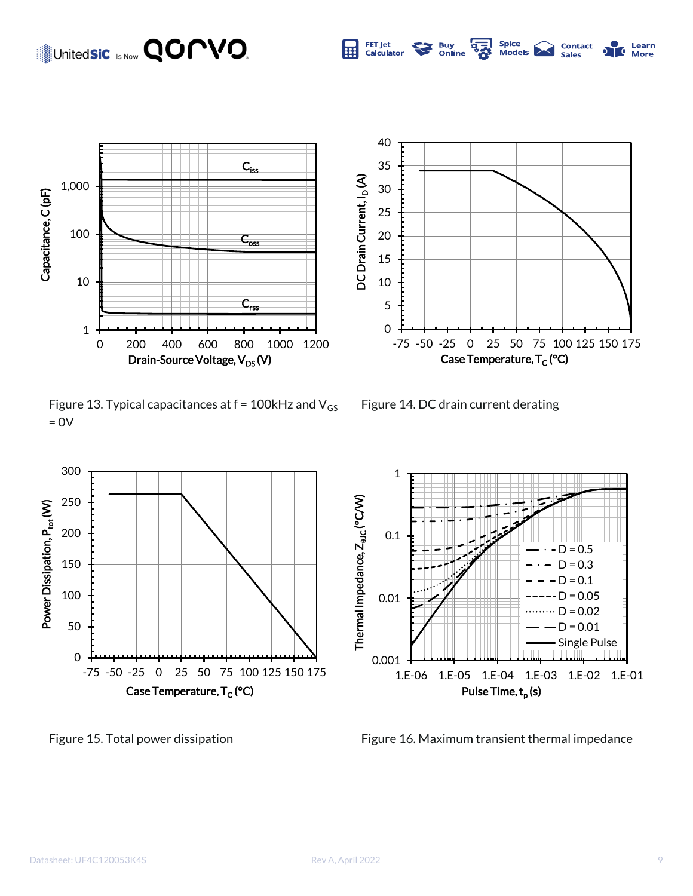### United**sic** Is Now **QOMVO.**



Figure 13. Typical capacitances at  $f = 100$ kHz and  $V_{GS}$  $= 0V$ 



-75 -50 -25 0 25 50 75 100 125 150 175

Spice<br>Models

**Contact**<br>Sales

Learn

**More** 

**Buy**<br>Online

<u>ून</u>

Case Temperature, T<sub>C</sub> (°C)

0

5 10

15

20

DC Drain Current, I<sub>D</sub> (A)

DC Drain Current, I<sub>D</sub>(A)

25 30

35 40

FET-Jet

Calculator

屈





Figure 15. Total power dissipation Figure 16. Maximum transient thermal impedance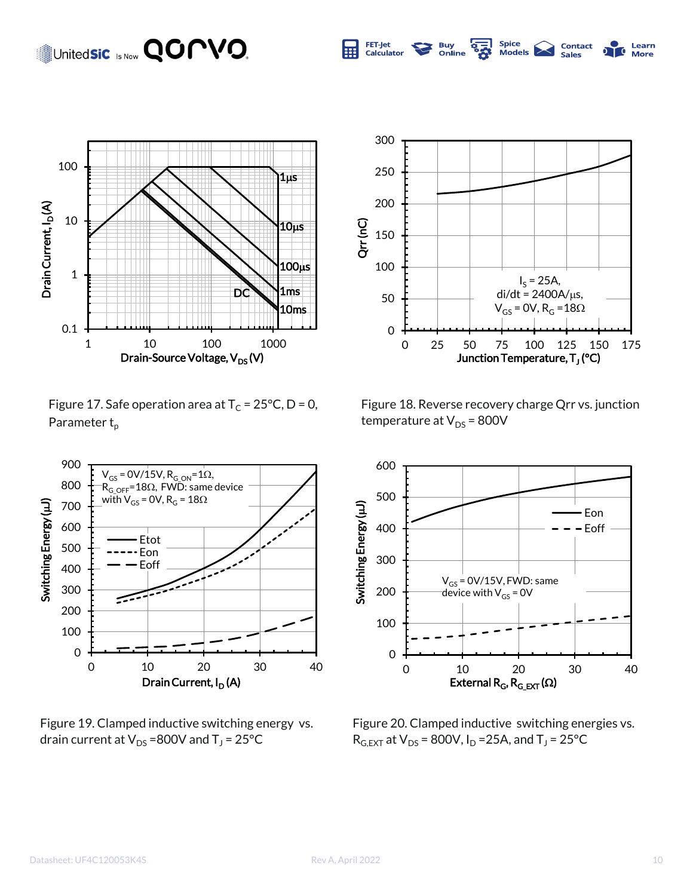### United**sic** Is Now **QOMVO**.



Figure 17. Safe operation area at  $T_c = 25^{\circ}C$ , D = 0, Parameter  $t_p$ 



Figure 19. Clamped inductive switching energy vs. drain current at  $V_{DS}$  =800V and T<sub>J</sub> = 25°C



**S2** 

**Buy<br>Online** 

**Spice** 

Models

FET-Jet

Calculator

屈

Contact

Sales

Learn

**More** 

 $\overline{\mathbf{c}}$ 

Figure 18. Reverse recovery charge Qrr vs. junction temperature at  $V_{DS}$  = 800V



Figure 20. Clamped inductive switching energies vs.  $R_{G,EXT}$  at  $V_{DS}$  = 800V,  $I_D$  =25A, and T<sub>J</sub> = 25°C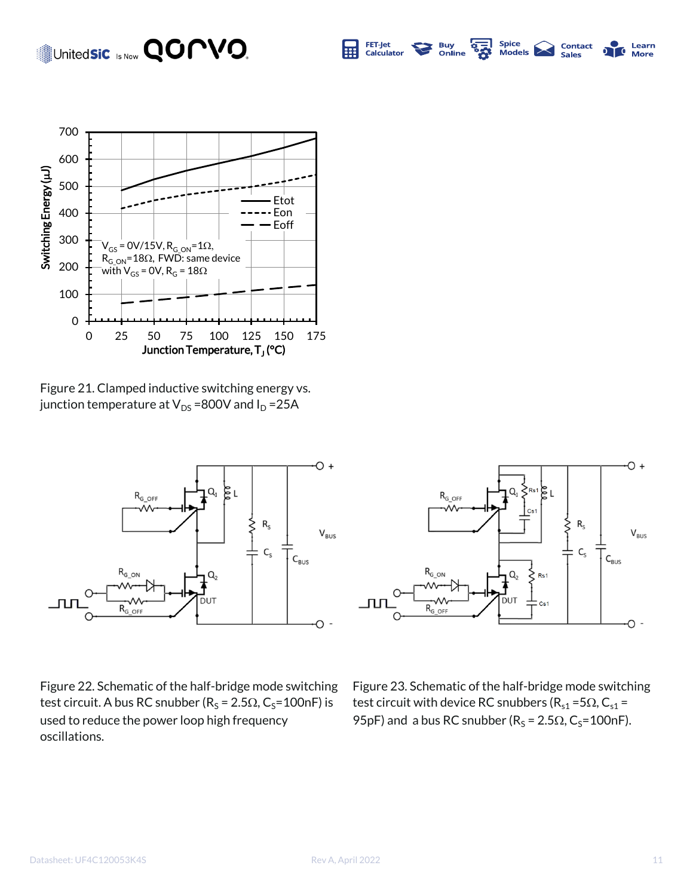#### United**sic** Is Now **QOMVO**. FET-Jet **SA Spice Buy<br>Online Contact**<br>Sales Learn 屈 Models **Not** T. Calculator **More**



Figure 21. Clamped inductive switching energy vs. junction temperature at  $V_{DS}$  =800V and  $I_D$  =25A



Figure 22. Schematic of the half-bridge mode switching test circuit. A bus RC snubber ( $R_S = 2.5\Omega$ ,  $C_S = 100$ nF) is used to reduce the power loop high frequency oscillations.



Figure 23. Schematic of the half-bridge mode switching test circuit with device RC snubbers ( $R_{s1}$  = 5 $\Omega$ , C<sub>s1</sub> = 95pF) and a bus RC snubber ( $R_S = 2.5\Omega$ , C<sub>S</sub>=100nF).